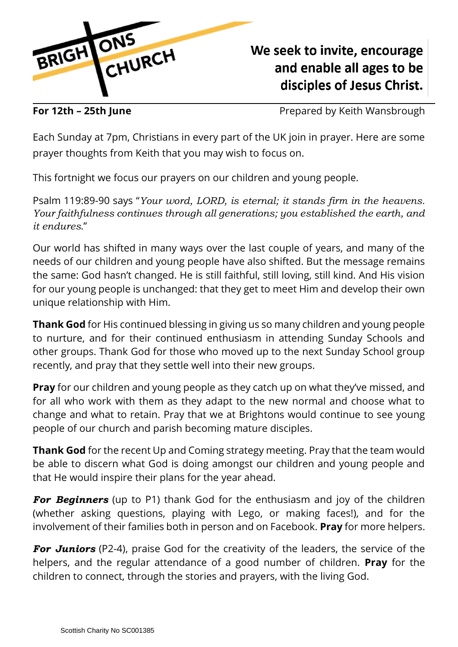

## We seek to invite, encourage and enable all ages to be disciples of Jesus Christ.

**For 12th – 25th June For 12th – 25th June** Prepared by Keith Wansbrough

Each Sunday at 7pm, Christians in every part of the UK join in prayer. Here are some prayer thoughts from Keith that you may wish to focus on.

This fortnight we focus our prayers on our children and young people.

Psalm 119:89-90 says "*Your word, LORD, is eternal; it stands firm in the heavens. Your faithfulness continues through all generations; you established the earth, and it endures*."

Our world has shifted in many ways over the last couple of years, and many of the needs of our children and young people have also shifted. But the message remains the same: God hasn't changed. He is still faithful, still loving, still kind. And His vision for our young people is unchanged: that they get to meet Him and develop their own unique relationship with Him.

**Thank God** for His continued blessing in giving us so many children and young people to nurture, and for their continued enthusiasm in attending Sunday Schools and other groups. Thank God for those who moved up to the next Sunday School group recently, and pray that they settle well into their new groups.

**Pray** for our children and young people as they catch up on what they've missed, and for all who work with them as they adapt to the new normal and choose what to change and what to retain. Pray that we at Brightons would continue to see young people of our church and parish becoming mature disciples.

**Thank God** for the recent Up and Coming strategy meeting. Pray that the team would be able to discern what God is doing amongst our children and young people and that He would inspire their plans for the year ahead.

*For Beginners* (up to P1) thank God for the enthusiasm and joy of the children (whether asking questions, playing with Lego, or making faces!), and for the involvement of their families both in person and on Facebook. **Pray** for more helpers.

*For Juniors* (P2-4), praise God for the creativity of the leaders, the service of the helpers, and the regular attendance of a good number of children. **Pray** for the children to connect, through the stories and prayers, with the living God.